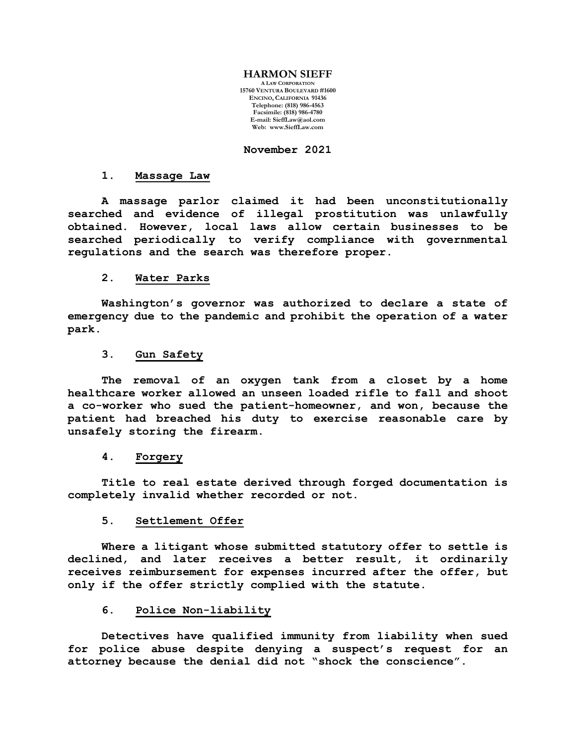#### **HARMON SIEFF**

**A LAW CORPORATION 15760 VENTURA BOULEVARD #1600 ENCINO, CALIFORNIA 91436 Telephone: (818) 986-4563 Facsimile: (818) 986-4780 E-mail[: SieffLaw@aol.com](mailto:SieffLaw@aol.com) Web: [www.SieffLaw.com](http://www.siefflaw.com/)**

## **November 2021**

#### **1. Massage Law**

**A massage parlor claimed it had been unconstitutionally searched and evidence of illegal prostitution was unlawfully obtained. However, local laws allow certain businesses to be searched periodically to verify compliance with governmental regulations and the search was therefore proper.**

### **2. Water Parks**

**Washington's governor was authorized to declare a state of emergency due to the pandemic and prohibit the operation of a water park.**

#### **3. Gun Safety**

**The removal of an oxygen tank from a closet by a home healthcare worker allowed an unseen loaded rifle to fall and shoot a co-worker who sued the patient-homeowner, and won, because the patient had breached his duty to exercise reasonable care by unsafely storing the firearm.**

#### **4. Forgery**

**Title to real estate derived through forged documentation is completely invalid whether recorded or not.**

#### **5. Settlement Offer**

**Where a litigant whose submitted statutory offer to settle is declined, and later receives a better result, it ordinarily receives reimbursement for expenses incurred after the offer, but only if the offer strictly complied with the statute.**

# **6. Police Non-liability**

**Detectives have qualified immunity from liability when sued for police abuse despite denying a suspect's request for an attorney because the denial did not "shock the conscience".**